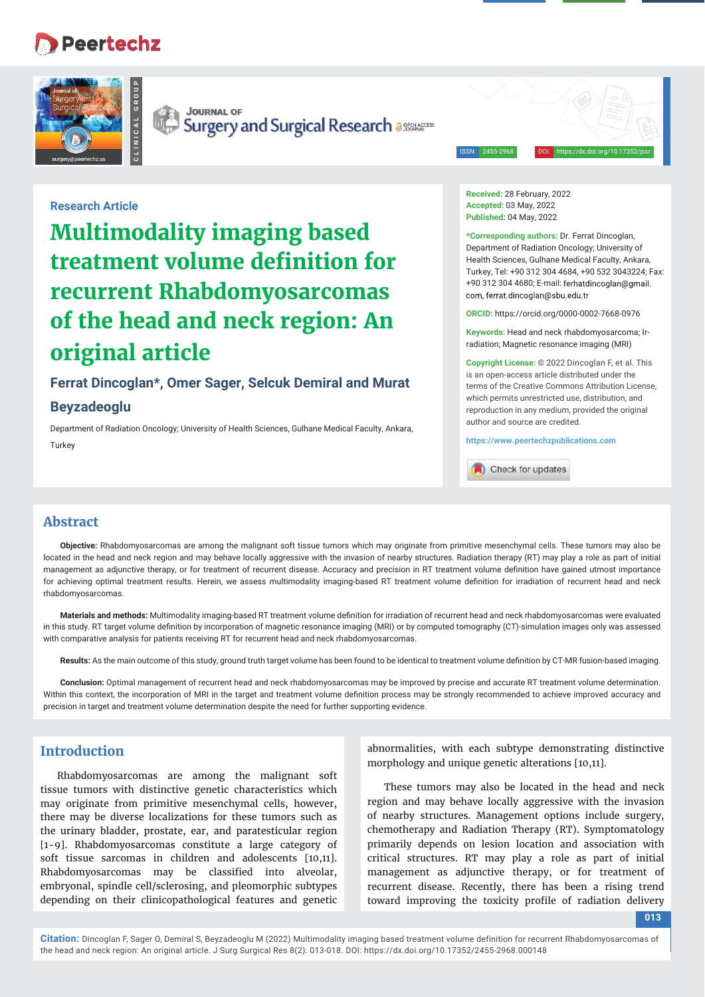# **Peertechz**

**CLINICAL GROUP**



**JOURNAL OF Code** Surgery and Surgical Research assuments

ISSN: 2455-2968 DOI: https://dx.doi.org/10.17352/jssr

## **Research Article**

**Multimodality imaging based treatment volume definition for recurrent Rhabdomyosarcomas of the head and neck region: An original article**

# **Ferrat Dincoglan\*, Omer Sager, Selcuk Demiral and Murat**

#### **Beyzadeoglu**

Department of Radiation Oncology; University of Health Sciences, Gulhane Medical Faculty, Ankara, **Turkey** 

**Received:** 28 February, 2022 **Accepted:** 03 May, 2022 **Published:** 04 May, 2022

**\*Corresponding authors:** Dr. Ferrat Dincoglan, Department of Radiation Oncology; University of Health Sciences, Gulhane Medical Faculty, Ankara, Turkey, Tel: +90 312 304 4684, +90 532 3043224; Fax: +90 312 304 4680; E-mail: com, ferrat.dincoglan@sbu.edu.tr

**ORCID:** https://orcid.org/0000-0002-7668-0976

**Keywords:** Head and neck rhabdomyosarcoma; Irradiation; Magnetic resonance imaging (MRI)

**Copyright License:** © 2022 Dincoglan F, et al. This is an open-access article distributed under the terms of the Creative Commons Attribution License, which permits unrestricted use, distribution, and reproduction in any medium, provided the original author and source are credited.

**https://www.peertechzpublications.com**

Check for updates

## **Abstract**

**Objective:** Rhabdomyosarcomas are among the malignant soft tissue tumors which may originate from primitive mesenchymal cells. These tumors may also be located in the head and neck region and may behave locally aggressive with the invasion of nearby structures. Radiation therapy (RT) may play a role as part of initial management as adjunctive therapy, or for treatment of recurrent disease. Accuracy and precision in RT treatment volume definition have gained utmost importance for achieving optimal treatment results. Herein, we assess multimodality imaging-based RT treatment volume definition for irradiation of recurrent head and neck rhabdomyosarcomas.

Materials and methods: Multimodality imaging-based RT treatment volume definition for irradiation of recurrent head and neck rhabdomyosarcomas were evaluated in this study. RT target volume definition by incorporation of magnetic resonance imaging (MRI) or by computed tomography (CT)-simulation images only was assessed with comparative analysis for patients receiving RT for recurrent head and neck rhabdomyosarcomas.

Results: As the main outcome of this study, ground truth target volume has been found to be identical to treatment volume definition by CT-MR fusion-based imaging.

**Conclusion:** Optimal management of recurrent head and neck rhabdomyosarcomas may be improved by precise and accurate RT treatment volume determination. Within this context, the incorporation of MRI in the target and treatment volume definition process may be strongly recommended to achieve improved accuracy and precision in target and treatment volume determination despite the need for further supporting evidence.

# **Introduction**

Rhabdomyosarcomas are among the malignant soft tissue tumors with distinctive genetic characteristics which may originate from primitive mesenchymal cells, however, there may be diverse localizations for these tumors such as the urinary bladder, prostate, ear, and paratesticular region [1-9]. Rhabdomyosarcomas constitute a large category of soft tissue sarcomas in children and adolescents [10,11]. Rhabdomyosarcomas may be classified into alveolar, embryonal, spindle cell/sclerosing, and pleomorphic subtypes depending on their clinicopathological features and genetic

abnormalities, with each subtype demonstrating distinctive morphology and unique genetic alterations [10,11].

These tumors may also be located in the head and neck region and may behave locally aggressive with the invasion of nearby structures. Management options include surgery, chemotherapy and Radiation Therapy (RT). Symptomatology primarily depends on lesion location and association with critical structures. RT may play a role as part of initial management as adjunctive therapy, or for treatment of recurrent disease. Recently, there has been a rising trend toward improving the toxicity profile of radiation delivery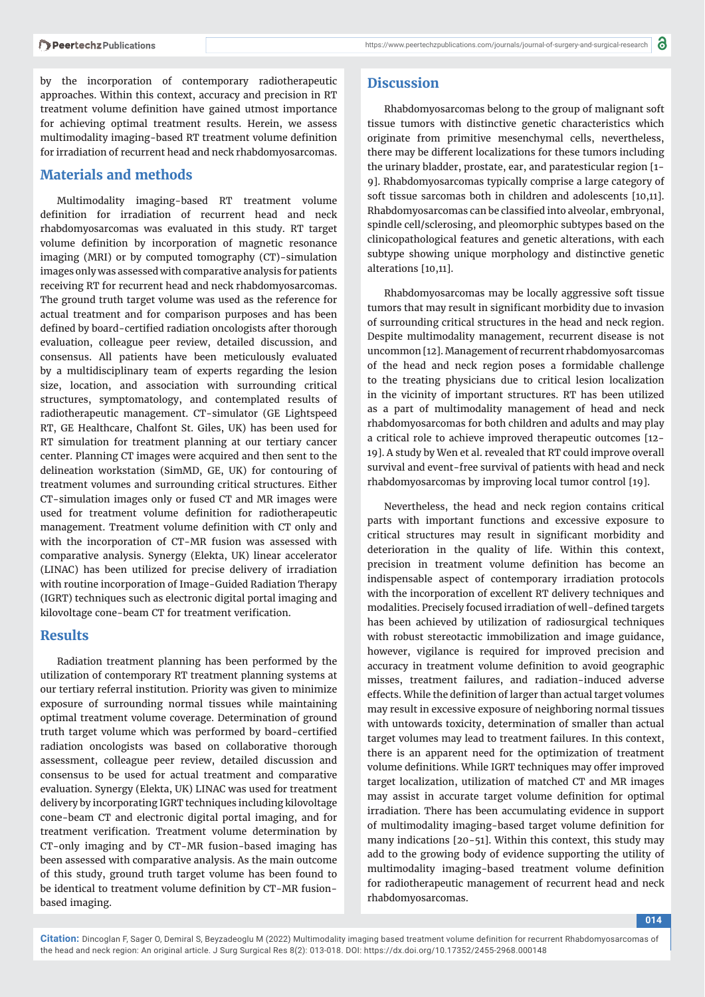by the incorporation of contemporary radiotherapeutic approaches. Within this context, accuracy and precision in RT treatment volume definition have gained utmost importance for achieving optimal treatment results. Herein, we assess multimodality imaging-based RT treatment volume definition for irradiation of recurrent head and neck rhabdomyosarcomas.

#### **Materials and methods**

Multimodality imaging-based RT treatment volume definition for irradiation of recurrent head and neck rhabdomyosarcomas was evaluated in this study. RT target volume definition by incorporation of magnetic resonance imaging (MRI) or by computed tomography (CT)-simulation images only was assessed with comparative analysis for patients receiving RT for recurrent head and neck rhabdomyosarcomas. The ground truth target volume was used as the reference for actual treatment and for comparison purposes and has been defined by board-certified radiation oncologists after thorough evaluation, colleague peer review, detailed discussion, and consensus. All patients have been meticulously evaluated by a multidisciplinary team of experts regarding the lesion size, location, and association with surrounding critical structures, symptomatology, and contemplated results of radiotherapeutic management. CT-simulator (GE Lightspeed RT, GE Healthcare, Chalfont St. Giles, UK) has been used for RT simulation for treatment planning at our tertiary cancer center. Planning CT images were acquired and then sent to the delineation workstation (SimMD, GE, UK) for contouring of treatment volumes and surrounding critical structures. Either CT-simulation images only or fused CT and MR images were used for treatment volume definition for radiotherapeutic management. Treatment volume definition with CT only and with the incorporation of CT-MR fusion was assessed with comparative analysis. Synergy (Elekta, UK) linear accelerator (LINAC) has been utilized for precise delivery of irradiation with routine incorporation of Image-Guided Radiation Therapy (IGRT) techniques such as electronic digital portal imaging and kilovoltage cone-beam CT for treatment verification.

#### **Results**

Radiation treatment planning has been performed by the utilization of contemporary RT treatment planning systems at our tertiary referral institution. Priority was given to minimize exposure of surrounding normal tissues while maintaining optimal treatment volume coverage. Determination of ground truth target volume which was performed by board-certified radiation oncologists was based on collaborative thorough assessment, colleague peer review, detailed discussion and consensus to be used for actual treatment and comparative evaluation. Synergy (Elekta, UK) LINAC was used for treatment delivery by incorporating IGRT techniques including kilovoltage cone-beam CT and electronic digital portal imaging, and for treatment verification. Treatment volume determination by CT-only imaging and by CT-MR fusion-based imaging has been assessed with comparative analysis. As the main outcome of this study, ground truth target volume has been found to be identical to treatment volume definition by CT-MR fusionbased imaging.

Rhabdomyosarcomas belong to the group of malignant soft tissue tumors with distinctive genetic characteristics which originate from primitive mesenchymal cells, nevertheless, there may be different localizations for these tumors including the urinary bladder, prostate, ear, and paratesticular region [1- 9]. Rhabdomyosarcomas typically comprise a large category of soft tissue sarcomas both in children and adolescents [10,11]. Rhabdomyosarcomas can be classified into alveolar, embryonal, spindle cell/sclerosing, and pleomorphic subtypes based on the clinicopathological features and genetic alterations, with each subtype showing unique morphology and distinctive genetic alterations [10,11].

Rhabdomyosarcomas may be locally aggressive soft tissue tumors that may result in significant morbidity due to invasion of surrounding critical structures in the head and neck region. Despite multimodality management, recurrent disease is not uncommon [12]. Management of recurrent rhabdomyosarcomas of the head and neck region poses a formidable challenge to the treating physicians due to critical lesion localization in the vicinity of important structures. RT has been utilized as a part of multimodality management of head and neck rhabdomyosarcomas for both children and adults and may play a critical role to achieve improved therapeutic outcomes [12- 19]. A study by Wen et al. revealed that RT could improve overall survival and event-free survival of patients with head and neck rhabdomyosarcomas by improving local tumor control [19].

Nevertheless, the head and neck region contains critical parts with important functions and excessive exposure to critical structures may result in significant morbidity and deterioration in the quality of life. Within this context, precision in treatment volume definition has become an indispensable aspect of contemporary irradiation protocols with the incorporation of excellent RT delivery techniques and modalities. Precisely focused irradiation of well-defined targets has been achieved by utilization of radiosurgical techniques with robust stereotactic immobilization and image guidance, however, vigilance is required for improved precision and accuracy in treatment volume definition to avoid geographic misses, treatment failures, and radiation-induced adverse effects. While the definition of larger than actual target volumes may result in excessive exposure of neighboring normal tissues with untowards toxicity, determination of smaller than actual target volumes may lead to treatment failures. In this context, there is an apparent need for the optimization of treatment volume definitions. While IGRT techniques may offer improved target localization, utilization of matched CT and MR images may assist in accurate target volume definition for optimal irradiation. There has been accumulating evidence in support of multimodality imaging-based target volume definition for many indications [20-51]. Within this context, this study may add to the growing body of evidence supporting the utility of multimodality imaging-based treatment volume definition for radiotherapeutic management of recurrent head and neck rhabdomyosarcomas.

**014**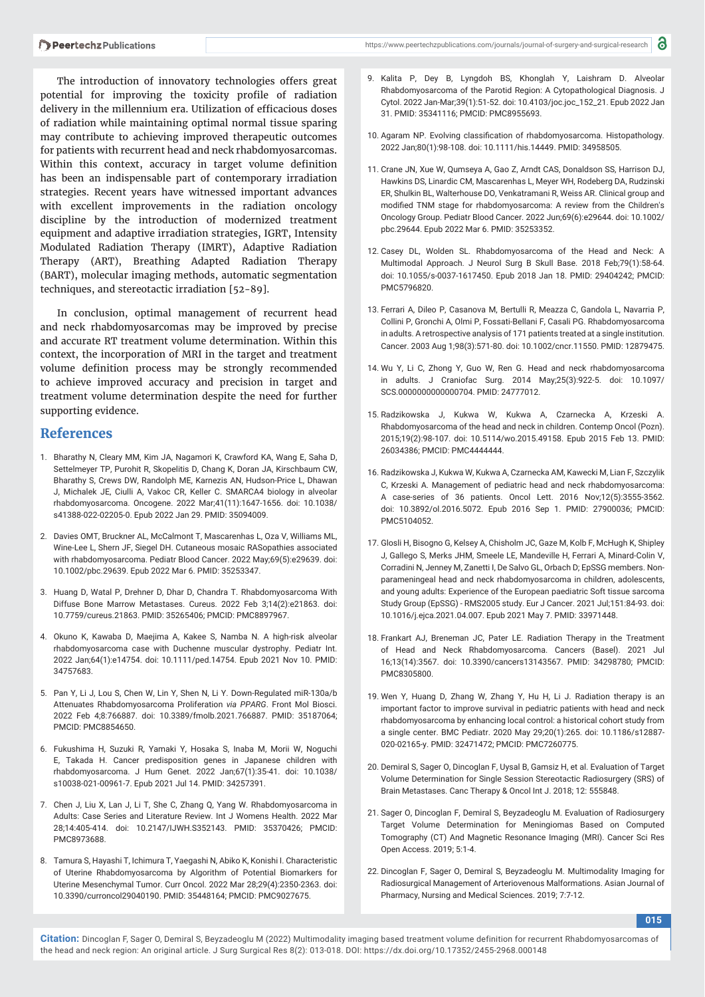The introduction of innovatory technologies offers great potential for improving the toxicity profile of radiation delivery in the millennium era. Utilization of efficacious doses of radiation while maintaining optimal normal tissue sparing may contribute to achieving improved therapeutic outcomes for patients with recurrent head and neck rhabdomyosarcomas. Within this context, accuracy in target volume definition has been an indispensable part of contemporary irradiation strategies. Recent years have witnessed important advances with excellent improvements in the radiation oncology discipline by the introduction of modernized treatment equipment and adaptive irradiation strategies, IGRT, Intensity Modulated Radiation Therapy (IMRT), Adaptive Radiation Therapy (ART), Breathing Adapted Radiation Therapy (BART), molecular imaging methods, automatic segmentation techniques, and stereotactic irradiation [52-89].

In conclusion, optimal management of recurrent head and neck rhabdomyosarcomas may be improved by precise and accurate RT treatment volume determination. Within this context, the incorporation of MRI in the target and treatment volume definition process may be strongly recommended to achieve improved accuracy and precision in target and treatment volume determination despite the need for further supporting evidence.

## **References**

- 1. Bharathy N, Cleary MM, Kim JA, Nagamori K, Crawford KA, Wang E, Saha D, Settelmeyer TP, Purohit R, Skopelitis D, Chang K, Doran JA, Kirschbaum CW, Bharathy S, Crews DW, Randolph ME, Karnezis AN, Hudson-Price L, Dhawan J, Michalek JE, Ciulli A, Vakoc CR, Keller C. SMARCA4 biology in alveolar rhabdomyosarcoma. Oncogene. 2022 Mar;41(11):1647-1656. doi: 10.1038/ s41388-022-02205-0. Epub 2022 Jan 29. PMID: 35094009.
- 2. Davies OMT, Bruckner AL, McCalmont T, Mascarenhas L, Oza V, Williams ML, Wine-Lee L, Shern JF, Siegel DH. Cutaneous mosaic RASopathies associated with rhabdomyosarcoma. Pediatr Blood Cancer. 2022 May;69(5):e29639. doi: 10.1002/pbc.29639. Epub 2022 Mar 6. PMID: 35253347.
- 3. Huang D, Watal P, Drehner D, Dhar D, Chandra T. Rhabdomyosarcoma With Diffuse Bone Marrow Metastases. Cureus. 2022 Feb 3;14(2):e21863. doi: 10.7759/cureus.21863. PMID: 35265406; PMCID: PMC8897967.
- 4. Okuno K, Kawaba D, Maejima A, Kakee S, Namba N. A high-risk alveolar rhabdomyosarcoma case with Duchenne muscular dystrophy. Pediatr Int. 2022 Jan;64(1):e14754. doi: 10.1111/ped.14754. Epub 2021 Nov 10. PMID: 34757683.
- 5. Pan Y, Li J, Lou S, Chen W, Lin Y, Shen N, Li Y. Down-Regulated miR-130a/b Attenuates Rhabdomyosarcoma Proliferation *via PPARG*. Front Mol Biosci. 2022 Feb 4;8:766887. doi: 10.3389/fmolb.2021.766887. PMID: 35187064; PMCID: PMC8854650.
- 6. Fukushima H, Suzuki R, Yamaki Y, Hosaka S, Inaba M, Morii W, Noguchi E, Takada H. Cancer predisposition genes in Japanese children with rhabdomyosarcoma. J Hum Genet. 2022 Jan;67(1):35-41. doi: 10.1038/ s10038-021-00961-7. Epub 2021 Jul 14. PMID: 34257391.
- 7. Chen J, Liu X, Lan J, Li T, She C, Zhang Q, Yang W. Rhabdomyosarcoma in Adults: Case Series and Literature Review. Int J Womens Health. 2022 Mar 28;14:405-414. doi: 10.2147/IJWH.S352143. PMID: 35370426; PMCID: PMC8973688.
- 8. Tamura S, Hayashi T, Ichimura T, Yaegashi N, Abiko K, Konishi I. Characteristic of Uterine Rhabdomyosarcoma by Algorithm of Potential Biomarkers for Uterine Mesenchymal Tumor. Curr Oncol. 2022 Mar 28;29(4):2350-2363. doi: 10.3390/curroncol29040190. PMID: 35448164; PMCID: PMC9027675.
- 9. Kalita P, Dey B, Lyngdoh BS, Khonglah Y, Laishram D. Alveolar Rhabdomyosarcoma of the Parotid Region: A Cytopathological Diagnosis. J Cytol. 2022 Jan-Mar;39(1):51-52. doi: 10.4103/joc.joc\_152\_21. Epub 2022 Jan 31. PMID: 35341116; PMCID: PMC8955693.
- 10. Agaram NP. Evolving classification of rhabdomyosarcoma. Histopathology. 2022 Jan;80(1):98-108. doi: 10.1111/his.14449. PMID: 34958505.
- 11. Crane JN, Xue W, Qumseya A, Gao Z, Arndt CAS, Donaldson SS, Harrison DJ, Hawkins DS, Linardic CM, Mascarenhas L, Meyer WH, Rodeberg DA, Rudzinski ER, Shulkin BL, Walterhouse DO, Venkatramani R, Weiss AR. Clinical group and modified TNM stage for rhabdomyosarcoma: A review from the Children's Oncology Group. Pediatr Blood Cancer. 2022 Jun;69(6):e29644. doi: 10.1002/ pbc.29644. Epub 2022 Mar 6. PMID: 35253352.
- 12. Casey DL, Wolden SL. Rhabdomyosarcoma of the Head and Neck: A Multimodal Approach. J Neurol Surg B Skull Base. 2018 Feb;79(1):58-64. doi: 10.1055/s-0037-1617450. Epub 2018 Jan 18. PMID: 29404242; PMCID: PMC5796820.
- 13. Ferrari A, Dileo P, Casanova M, Bertulli R, Meazza C, Gandola L, Navarria P, Collini P, Gronchi A, Olmi P, Fossati-Bellani F, Casali PG. Rhabdomyosarcoma in adults. A retrospective analysis of 171 patients treated at a single institution. Cancer. 2003 Aug 1;98(3):571-80. doi: 10.1002/cncr.11550. PMID: 12879475.
- 14. Wu Y, Li C, Zhong Y, Guo W, Ren G. Head and neck rhabdomyosarcoma in adults. J Craniofac Surg. 2014 May;25(3):922-5. doi: 10.1097/ SCS.0000000000000704. PMID: 24777012.
- 15. Radzikowska J, Kukwa W, Kukwa A, Czarnecka A, Krzeski A. Rhabdomyosarcoma of the head and neck in children. Contemp Oncol (Pozn). 2015;19(2):98-107. doi: 10.5114/wo.2015.49158. Epub 2015 Feb 13. PMID: 26034386; PMCID: PMC4444444.
- 16. Radzikowska J, Kukwa W, Kukwa A, Czarnecka AM, Kawecki M, Lian F, Szczylik C, Krzeski A. Management of pediatric head and neck rhabdomyosarcoma: A case-series of 36 patients. Oncol Lett. 2016 Nov;12(5):3555-3562. doi: 10.3892/ol.2016.5072. Epub 2016 Sep 1. PMID: 27900036; PMCID: PMC5104052.
- 17. Glosli H, Bisogno G, Kelsey A, Chisholm JC, Gaze M, Kolb F, McHugh K, Shipley J, Gallego S, Merks JHM, Smeele LE, Mandeville H, Ferrari A, Minard-Colin V, Corradini N, Jenney M, Zanetti I, De Salvo GL, Orbach D; EpSSG members. Nonparameningeal head and neck rhabdomyosarcoma in children, adolescents, and young adults: Experience of the European paediatric Soft tissue sarcoma Study Group (EpSSG) - RMS2005 study. Eur J Cancer. 2021 Jul;151:84-93. doi: 10.1016/j.ejca.2021.04.007. Epub 2021 May 7. PMID: 33971448.
- 18. Frankart AJ, Breneman JC, Pater LE. Radiation Therapy in the Treatment of Head and Neck Rhabdomyosarcoma. Cancers (Basel). 2021 Jul 16;13(14):3567. doi: 10.3390/cancers13143567. PMID: 34298780; PMCID: PMC8305800.
- 19. Wen Y, Huang D, Zhang W, Zhang Y, Hu H, Li J. Radiation therapy is an important factor to improve survival in pediatric patients with head and neck rhabdomyosarcoma by enhancing local control: a historical cohort study from a single center. BMC Pediatr. 2020 May 29;20(1):265. doi: 10.1186/s12887- 020-02165-y. PMID: 32471472; PMCID: PMC7260775.
- 20. Demiral S, Sager O, Dincoglan F, Uysal B, Gamsiz H, et al. Evaluation of Target Volume Determination for Single Session Stereotactic Radiosurgery (SRS) of Brain Metastases. Canc Therapy & Oncol Int J. 2018; 12: 555848.
- 21. Sager O, Dincoglan F, Demiral S, Beyzadeoglu M. Evaluation of Radiosurgery Target Volume Determination for Meningiomas Based on Computed Tomography (CT) And Magnetic Resonance Imaging (MRI). Cancer Sci Res Open Access. 2019; 5:1-4.
- 22. Dincoglan F, Sager O, Demiral S, Beyzadeoglu M. Multimodality Imaging for Radiosurgical Management of Arteriovenous Malformations. Asian Journal of Pharmacy, Nursing and Medical Sciences. 2019; 7:7-12.

**015**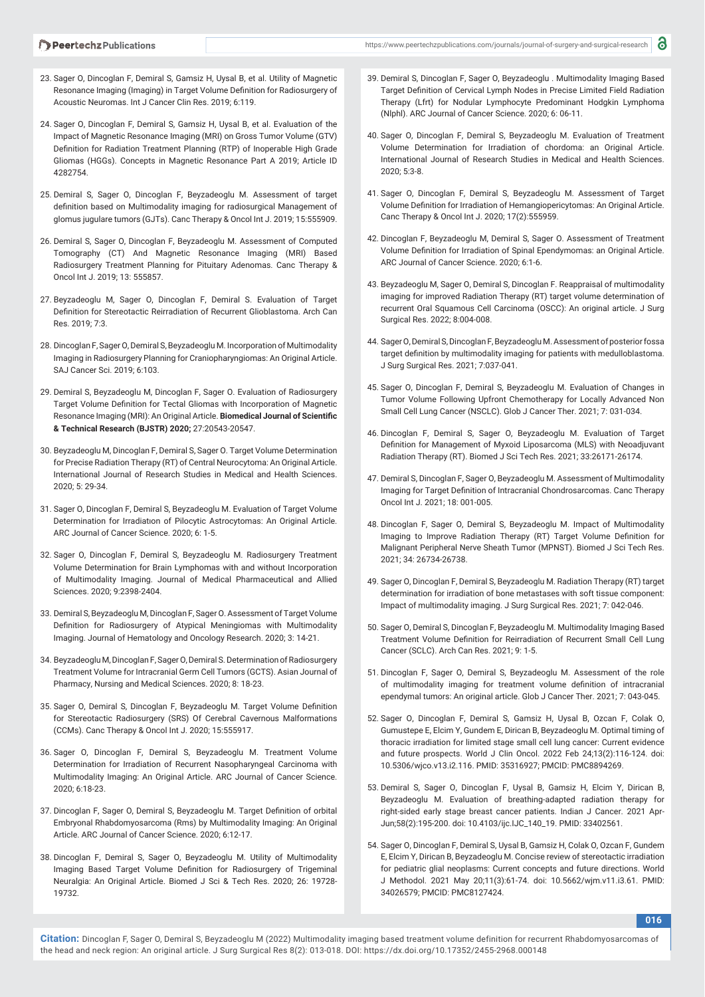- 23. Sager O, Dincoglan F, Demiral S, Gamsiz H, Uysal B, et al. Utility of Magnetic Resonance Imaging (Imaging) in Target Volume Definition for Radiosurgery of Acoustic Neuromas. Int J Cancer Clin Res. 2019; 6:119.
- 24. Sager O, Dincoglan F, Demiral S, Gamsiz H, Uysal B, et al. Evaluation of the Impact of Magnetic Resonance Imaging (MRI) on Gross Tumor Volume (GTV) Definition for Radiation Treatment Planning (RTP) of Inoperable High Grade Gliomas (HGGs). Concepts in Magnetic Resonance Part A 2019; Article ID 4282754.
- 25. Demiral S, Sager O, Dincoglan F, Beyzadeoglu M. Assessment of target definition based on Multimodality imaging for radiosurgical Management of glomus jugulare tumors (GJTs). Canc Therapy & Oncol Int J. 2019; 15:555909.
- 26. Demiral S, Sager O, Dincoglan F, Beyzadeoglu M. Assessment of Computed Tomography (CT) And Magnetic Resonance Imaging (MRI) Based Radiosurgery Treatment Planning for Pituitary Adenomas. Canc Therapy & Oncol Int J. 2019; 13: 555857.
- 27. Beyzadeoglu M, Sager O, Dincoglan F, Demiral S. Evaluation of Target Definition for Stereotactic Reirradiation of Recurrent Glioblastoma. Arch Can Res. 2019; 7:3.
- 28. Dincoglan F, Sager O, Demiral S, Beyzadeoglu M. Incorporation of Multimodality Imaging in Radiosurgery Planning for Craniopharyngiomas: An Original Article. SAJ Cancer Sci. 2019; 6:103.
- 29. Demiral S, Beyzadeoglu M, Dincoglan F, Sager O. Evaluation of Radiosurgery Target Volume Definition for Tectal Gliomas with Incorporation of Magnetic Resonance Imaging (MRI): An Original Article. **Biomedical Journal of Scientific & Technical Research (BJSTR) 2020;** 27:20543-20547.
- 30. Beyzadeoglu M, Dincoglan F, Demiral S, Sager O. Target Volume Determination for Precise Radiation Therapy (RT) of Central Neurocytoma: An Original Article. International Journal of Research Studies in Medical and Health Sciences. 2020; 5: 29-34.
- 31. Sager O, Dincoglan F, Demiral S, Beyzadeoglu M. Evaluation of Target Volume Determination for Irradiatıon of Pilocytic Astrocytomas: An Original Article. ARC Journal of Cancer Science. 2020; 6: 1-5.
- 32. Sager O, Dincoglan F, Demiral S, Beyzadeoglu M. Radiosurgery Treatment Volume Determination for Brain Lymphomas with and without Incorporation of Multimodality Imaging. Journal of Medical Pharmaceutical and Allied Sciences. 2020; 9:2398-2404.
- 33. Demiral S, Beyzadeoglu M, Dincoglan F, Sager O. Assessment of Target Volume Definition for Radiosurgery of Atypical Meningiomas with Multimodality Imaging. Journal of Hematology and Oncology Research. 2020; 3: 14-21.
- 34. Beyzadeoglu M, Dincoglan F, Sager O, Demiral S. Determination of Radiosurgery Treatment Volume for Intracranial Germ Cell Tumors (GCTS). Asian Journal of Pharmacy, Nursing and Medical Sciences. 2020; 8: 18-23.
- 35. Sager O, Demiral S, Dincoglan F, Beyzadeoglu M. Target Volume Definition for Stereotactic Radiosurgery (SRS) Of Cerebral Cavernous Malformations (CCMs). Canc Therapy & Oncol Int J. 2020; 15:555917.
- 36. Sager O, Dincoglan F, Demiral S, Beyzadeoglu M. Treatment Volume Determination for Irradiation of Recurrent Nasopharyngeal Carcinoma with Multimodality Imaging: An Original Article. ARC Journal of Cancer Science. 2020; 6:18-23.
- 37. Dincoglan F, Sager O, Demiral S, Beyzadeoglu M. Target Definition of orbital Embryonal Rhabdomyosarcoma (Rms) by Multimodality Imaging: An Original Article. ARC Journal of Cancer Science. 2020; 6:12-17.
- 38. Dincoglan F, Demiral S, Sager O, Beyzadeoglu M. Utility of Multimodality Imaging Based Target Volume Definition for Radiosurgery of Trigeminal Neuralgia: An Original Article. Biomed J Sci & Tech Res. 2020; 26: 19728- 19732.
- 39. Demiral S, Dincoglan F, Sager O, Beyzadeoglu . Multimodality Imaging Based Target Definition of Cervical Lymph Nodes in Precise Limited Field Radiation Therapy (Lfrt) for Nodular Lymphocyte Predominant Hodgkin Lymphoma (Nlphl). ARC Journal of Cancer Science. 2020; 6: 06-11.
- 40. Sager O, Dincoglan F, Demiral S, Beyzadeoglu M. Evaluation of Treatment Volume Determination for Irradiation of chordoma: an Original Article. International Journal of Research Studies in Medical and Health Sciences. 2020; 5:3-8.
- 41. Sager O, Dincoglan F, Demiral S, Beyzadeoglu M. Assessment of Target Volume Definition for Irradiation of Hemangiopericytomas: An Original Article. Canc Therapy & Oncol Int J. 2020; 17(2):555959.
- 42. Dincoglan F, Beyzadeoglu M, Demiral S, Sager O. Assessment of Treatment Volume Definition for Irradiation of Spinal Ependymomas: an Original Article. ARC Journal of Cancer Science. 2020; 6:1-6.
- 43. Beyzadeoglu M, Sager O, Demiral S, Dincoglan F. Reappraisal of multimodality imaging for improved Radiation Therapy (RT) target volume determination of recurrent Oral Squamous Cell Carcinoma (OSCC): An original article. J Surg Surgical Res. 2022; 8:004-008.
- 44. Sager O, Demiral S, Dincoglan F, Beyzadeoglu M. Assessment of posterior fossa target definition by multimodality imaging for patients with medulloblastoma. J Surg Surgical Res. 2021; 7:037-041.
- 45. Sager O, Dincoglan F, Demiral S, Beyzadeoglu M. Evaluation of Changes in Tumor Volume Following Upfront Chemotherapy for Locally Advanced Non Small Cell Lung Cancer (NSCLC). Glob J Cancer Ther. 2021; 7: 031-034.
- 46. Dincoglan F, Demiral S, Sager O, Beyzadeoglu M. Evaluation of Target Definition for Management of Myxoid Liposarcoma (MLS) with Neoadjuvant Radiation Therapy (RT). Biomed J Sci Tech Res. 2021; 33:26171-26174.
- 47. Demiral S, Dincoglan F, Sager O, Beyzadeoglu M. Assessment of Multimodality Imaging for Target Definition of Intracranial Chondrosarcomas. Canc Therapy Oncol Int J. 2021; 18: 001-005.
- 48. Dincoglan F, Sager O, Demiral S, Beyzadeoglu M. Impact of Multimodality Imaging to Improve Radiation Therapy (RT) Target Volume Definition for Malignant Peripheral Nerve Sheath Tumor (MPNST). Biomed J Sci Tech Res. 2021; 34: 26734-26738.
- 49. Sager O, Dincoglan F, Demiral S, Beyzadeoglu M. Radiation Therapy (RT) target determination for irradiation of bone metastases with soft tissue component: Impact of multimodality imaging. J Surg Surgical Res. 2021; 7: 042-046.
- 50. Sager O, Demiral S, Dincoglan F, Beyzadeoglu M. Multimodality Imaging Based Treatment Volume Definition for Reirradiation of Recurrent Small Cell Lung Cancer (SCLC). Arch Can Res. 2021; 9: 1-5.
- 51. Dincoglan F, Sager O, Demiral S, Beyzadeoglu M. Assessment of the role of multimodality imaging for treatment volume definition of intracranial ependymal tumors: An original article. Glob J Cancer Ther. 2021; 7: 043-045.
- 52. Sager O, Dincoglan F, Demiral S, Gamsiz H, Uysal B, Ozcan F, Colak O, Gumustepe E, Elcim Y, Gundem E, Dirican B, Beyzadeoglu M. Optimal timing of thoracic irradiation for limited stage small cell lung cancer: Current evidence and future prospects. World J Clin Oncol. 2022 Feb 24;13(2):116-124. doi: 10.5306/wjco.v13.i2.116. PMID: 35316927; PMCID: PMC8894269.
- 53. Demiral S, Sager O, Dincoglan F, Uysal B, Gamsiz H, Elcim Y, Dirican B, Beyzadeoglu M. Evaluation of breathing-adapted radiation therapy for right-sided early stage breast cancer patients. Indian J Cancer. 2021 Apr-Jun;58(2):195-200. doi: 10.4103/ijc.IJC\_140\_19. PMID: 33402561.
- 54. Sager O, Dincoglan F, Demiral S, Uysal B, Gamsiz H, Colak O, Ozcan F, Gundem E, Elcim Y, Dirican B, Beyzadeoglu M. Concise review of stereotactic irradiation for pediatric glial neoplasms: Current concepts and future directions. World J Methodol. 2021 May 20;11(3):61-74. doi: 10.5662/wjm.v11.i3.61. PMID: 34026579; PMCID: PMC8127424.

**016**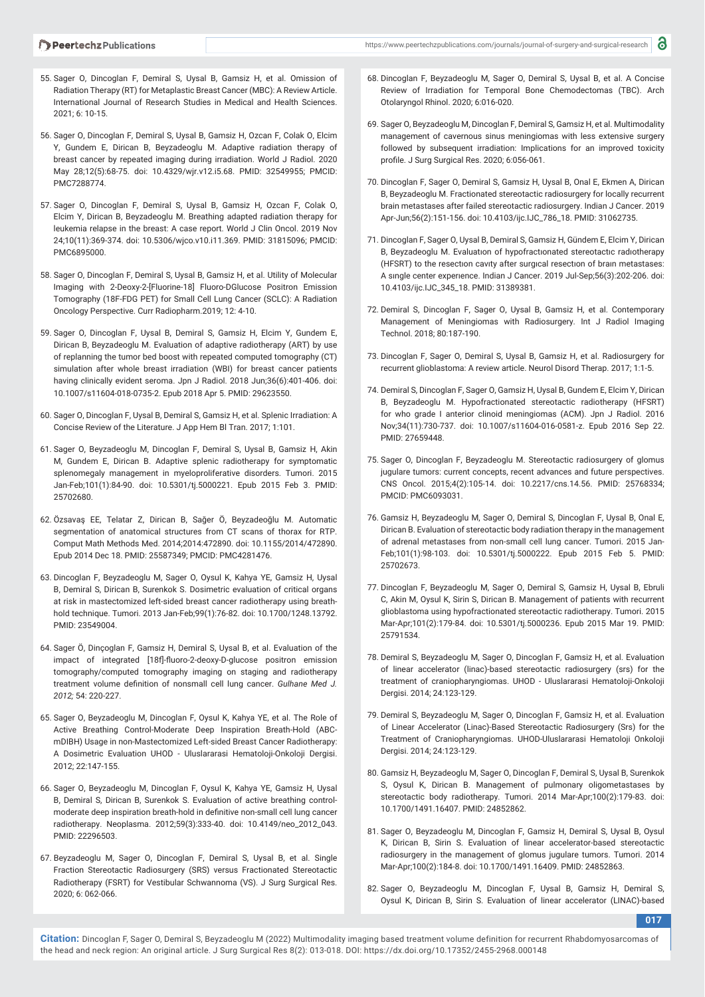- 55. Sager O, Dincoglan F, Demiral S, Uysal B, Gamsiz H, et al. Omission of Radiation Therapy (RT) for Metaplastic Breast Cancer (MBC): A Review Article. International Journal of Research Studies in Medical and Health Sciences. 2021; 6: 10-15.
- 56. Sager O, Dincoglan F, Demiral S, Uysal B, Gamsiz H, Ozcan F, Colak O, Elcim Y, Gundem E, Dirican B, Beyzadeoglu M. Adaptive radiation therapy of breast cancer by repeated imaging during irradiation. World J Radiol. 2020 May 28;12(5):68-75. doi: 10.4329/wjr.v12.i5.68. PMID: 32549955; PMCID: PMC7288774.
- 57. Sager O, Dincoglan F, Demiral S, Uysal B, Gamsiz H, Ozcan F, Colak O, Elcim Y, Dirican B, Beyzadeoglu M. Breathing adapted radiation therapy for leukemia relapse in the breast: A case report. World J Clin Oncol. 2019 Nov 24;10(11):369-374. doi: 10.5306/wjco.v10.i11.369. PMID: 31815096; PMCID: PMC6895000.
- 58. Sager O, Dincoglan F, Demiral S, Uysal B, Gamsiz H, et al. Utility of Molecular Imaging with 2-Deoxy-2-[Fluorine-18] Fluoro-DGlucose Positron Emission Tomography (18F-FDG PET) for Small Cell Lung Cancer (SCLC): A Radiation Oncology Perspective. Curr Radiopharm.2019; 12: 4-10.
- 59. Sager O, Dincoglan F, Uysal B, Demiral S, Gamsiz H, Elcim Y, Gundem E, Dirican B, Beyzadeoglu M. Evaluation of adaptive radiotherapy (ART) by use of replanning the tumor bed boost with repeated computed tomography (CT) simulation after whole breast irradiation (WBI) for breast cancer patients having clinically evident seroma. Jpn J Radiol. 2018 Jun;36(6):401-406. doi: 10.1007/s11604-018-0735-2. Epub 2018 Apr 5. PMID: 29623550.
- 60. Sager O, Dincoglan F, Uysal B, Demiral S, Gamsiz H, et al. Splenic Irradiation: A Concise Review of the Literature. J App Hem Bl Tran. 2017; 1:101.
- 61. Sager O, Beyzadeoglu M, Dincoglan F, Demiral S, Uysal B, Gamsiz H, Akin M, Gundem E, Dirican B. Adaptive splenic radiotherapy for symptomatic splenomegaly management in myeloproliferative disorders. Tumori. 2015 Jan-Feb;101(1):84-90. doi: 10.5301/tj.5000221. Epub 2015 Feb 3. PMID: 25702680.
- 62. Özsavaş EE, Telatar Z, Dirican B, Sağer Ö, Beyzadeoğlu M. Automatic segmentation of anatomical structures from CT scans of thorax for RTP. Comput Math Methods Med. 2014;2014:472890. doi: 10.1155/2014/472890. Epub 2014 Dec 18. PMID: 25587349; PMCID: PMC4281476.
- 63. Dincoglan F, Beyzadeoglu M, Sager O, Oysul K, Kahya YE, Gamsiz H, Uysal B, Demiral S, Dirican B, Surenkok S. Dosimetric evaluation of critical organs at risk in mastectomized left-sided breast cancer radiotherapy using breathhold technique. Tumori. 2013 Jan-Feb;99(1):76-82. doi: 10.1700/1248.13792. PMID: 23549004.
- 64. Sager Ö, Dinçoglan F, Gamsiz H, Demiral S, Uysal B, et al. Evaluation of the impact of integrated [18f]-fluoro-2-deoxy-D-glucose positron emission tomography/computed tomography imaging on staging and radiotherapy treatment volume definition of nonsmall cell lung cancer. *Gulhane Med J. 2012;* 54: 220-227.
- 65. Sager O, Beyzadeoglu M, Dincoglan F, Oysul K, Kahya YE, et al. The Role of Active Breathing Control-Moderate Deep Inspiration Breath-Hold (ABCmDIBH) Usage in non-Mastectomized Left-sided Breast Cancer Radiotherapy: A Dosimetric Evaluation UHOD - Uluslararasi Hematoloji-Onkoloji Dergisi. 2012; 22:147-155.
- 66. Sager O, Beyzadeoglu M, Dincoglan F, Oysul K, Kahya YE, Gamsiz H, Uysal B, Demiral S, Dirican B, Surenkok S. Evaluation of active breathing controlmoderate deep inspiration breath-hold in definitive non-small cell lung cancer radiotherapy. Neoplasma. 2012;59(3):333-40. doi: 10.4149/neo\_2012\_043. PMID: 22296503.
- 67. Beyzadeoglu M, Sager O, Dincoglan F, Demiral S, Uysal B, et al. Single Fraction Stereotactic Radiosurgery (SRS) versus Fractionated Stereotactic Radiotherapy (FSRT) for Vestibular Schwannoma (VS). J Surg Surgical Res. 2020; 6: 062-066.
- 68. Dincoglan F, Beyzadeoglu M, Sager O, Demiral S, Uysal B, et al. A Concise Review of Irradiation for Temporal Bone Chemodectomas (TBC). Arch Otolaryngol Rhinol. 2020; 6:016-020.
- 69. Sager O, Beyzadeoglu M, Dincoglan F, Demiral S, Gamsiz H, et al. Multimodality management of cavernous sinus meningiomas with less extensive surgery followed by subsequent irradiation: Implications for an improved toxicity profile. J Surg Surgical Res. 2020; 6:056-061.
- 70. Dincoglan F, Sager O, Demiral S, Gamsiz H, Uysal B, Onal E, Ekmen A, Dirican B, Beyzadeoglu M. Fractionated stereotactic radiosurgery for locally recurrent brain metastases after failed stereotactic radiosurgery. Indian J Cancer. 2019 Apr-Jun;56(2):151-156. doi: 10.4103/ijc.IJC\_786\_18. PMID: 31062735.
- 71. Dincoglan F, Sager O, Uysal B, Demiral S, Gamsiz H, Gündem E, Elcim Y, Dirican B, Beyzadeoglu M. Evaluatıon of hypofractıonated stereotactıc radıotherapy (HFSRT) to the resectıon cavıty after surgıcal resectıon of braın metastases: A sıngle center experıence. Indian J Cancer. 2019 Jul-Sep;56(3):202-206. doi: 10.4103/ijc.IJC\_345\_18. PMID: 31389381.
- 72. Demiral S, Dincoglan F, Sager O, Uysal B, Gamsiz H, et al. Contemporary Management of Meningiomas with Radiosurgery. Int J Radiol Imaging Technol. 2018; 80:187-190.
- 73. Dincoglan F, Sager O, Demiral S, Uysal B, Gamsiz H, et al. Radiosurgery for recurrent glioblastoma: A review article. Neurol Disord Therap. 2017; 1:1-5.
- 74. Demiral S, Dincoglan F, Sager O, Gamsiz H, Uysal B, Gundem E, Elcim Y, Dirican B, Beyzadeoglu M. Hypofractionated stereotactic radiotherapy (HFSRT) for who grade I anterior clinoid meningiomas (ACM). Jpn J Radiol. 2016 Nov;34(11):730-737. doi: 10.1007/s11604-016-0581-z. Epub 2016 Sep 22. PMID: 27659448.
- 75. Sager O, Dincoglan F, Beyzadeoglu M. Stereotactic radiosurgery of glomus jugulare tumors: current concepts, recent advances and future perspectives. CNS Oncol. 2015;4(2):105-14. doi: 10.2217/cns.14.56. PMID: 25768334; PMCID: PMC6093031.
- 76. Gamsiz H, Beyzadeoglu M, Sager O, Demiral S, Dincoglan F, Uysal B, Onal E, Dirican B. Evaluation of stereotactic body radiation therapy in the management of adrenal metastases from non-small cell lung cancer. Tumori. 2015 Jan-Feb;101(1):98-103. doi: 10.5301/tj.5000222. Epub 2015 Feb 5. PMID: 25702673.
- 77. Dincoglan F, Beyzadeoglu M, Sager O, Demiral S, Gamsiz H, Uysal B, Ebruli C, Akin M, Oysul K, Sirin S, Dirican B. Management of patients with recurrent glioblastoma using hypofractionated stereotactic radiotherapy. Tumori. 2015 Mar-Apr;101(2):179-84. doi: 10.5301/tj.5000236. Epub 2015 Mar 19. PMID: 25791534.
- 78. Demiral S, Beyzadeoglu M, Sager O, Dincoglan F, Gamsiz H, et al. Evaluation of linear accelerator (linac)-based stereotactic radiosurgery (srs) for the treatment of craniopharyngiomas. UHOD - Uluslararasi Hematoloji-Onkoloji Dergisi. 2014; 24:123-129.
- 79. Demiral S, Beyzadeoglu M, Sager O, Dincoglan F, Gamsiz H, et al. Evaluation of Linear Accelerator (Linac)-Based Stereotactic Radiosurgery (Srs) for the Treatment of Craniopharyngiomas. UHOD-Uluslararasi Hematoloji Onkoloji Dergisi. 2014; 24:123-129.
- 80. Gamsiz H, Beyzadeoglu M, Sager O, Dincoglan F, Demiral S, Uysal B, Surenkok S, Oysul K, Dirican B. Management of pulmonary oligometastases by stereotactic body radiotherapy. Tumori. 2014 Mar-Apr;100(2):179-83. doi: 10.1700/1491.16407. PMID: 24852862.
- 81. Sager O, Beyzadeoglu M, Dincoglan F, Gamsiz H, Demiral S, Uysal B, Oysul K, Dirican B, Sirin S. Evaluation of linear accelerator-based stereotactic radiosurgery in the management of glomus jugulare tumors. Tumori. 2014 Mar-Apr;100(2):184-8. doi: 10.1700/1491.16409. PMID: 24852863.
- 82. Sager O, Beyzadeoglu M, Dincoglan F, Uysal B, Gamsiz H, Demiral S, Oysul K, Dirican B, Sirin S. Evaluation of linear accelerator (LINAC)-based

**017**